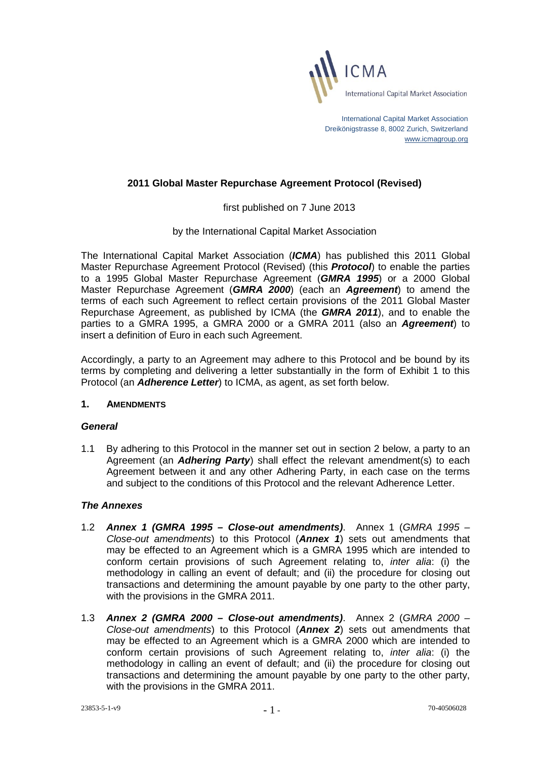

International Capital Market Association Dreikönigstrasse 8, 8002 Zurich, Switzerland [www.icmagroup.org](http://www.icmagroup.org/)

# **2011 Global Master Repurchase Agreement Protocol (Revised)**

first published on 7 June 2013

by the International Capital Market Association

The International Capital Market Association (*ICMA*) has published this 2011 Global Master Repurchase Agreement Protocol (Revised) (this *Protocol*) to enable the parties to a 1995 Global Master Repurchase Agreement (*GMRA 1995*) or a 2000 Global Master Repurchase Agreement (*GMRA 2000*) (each an *Agreement*) to amend the terms of each such Agreement to reflect certain provisions of the 2011 Global Master Repurchase Agreement, as published by ICMA (the *GMRA 2011*), and to enable the parties to a GMRA 1995, a GMRA 2000 or a GMRA 2011 (also an *Agreement*) to insert a definition of Euro in each such Agreement.

Accordingly, a party to an Agreement may adhere to this Protocol and be bound by its terms by completing and delivering a letter substantially in the form of Exhibit 1 to this Protocol (an *Adherence Letter*) to ICMA, as agent, as set forth below.

#### **1. AMENDMENTS**

# *General*

1.1 By adhering to this Protocol in the manner set out in section 2 below, a party to an Agreement (an *Adhering Party*) shall effect the relevant amendment(s) to each Agreement between it and any other Adhering Party, in each case on the terms and subject to the conditions of this Protocol and the relevant Adherence Letter.

# *The Annexes*

- 1.2 *Annex 1 (GMRA 1995 Close-out amendments)*. Annex 1 (*GMRA 1995 Close-out amendments*) to this Protocol (*Annex 1*) sets out amendments that may be effected to an Agreement which is a GMRA 1995 which are intended to conform certain provisions of such Agreement relating to, *inter alia*: (i) the methodology in calling an event of default; and (ii) the procedure for closing out transactions and determining the amount payable by one party to the other party, with the provisions in the GMRA 2011.
- 1.3 *Annex 2 (GMRA 2000 Close-out amendments)*. Annex 2 (*GMRA 2000 Close-out amendments*) to this Protocol (*Annex 2*) sets out amendments that may be effected to an Agreement which is a GMRA 2000 which are intended to conform certain provisions of such Agreement relating to, *inter alia*: (i) the methodology in calling an event of default; and (ii) the procedure for closing out transactions and determining the amount payable by one party to the other party, with the provisions in the GMRA 2011.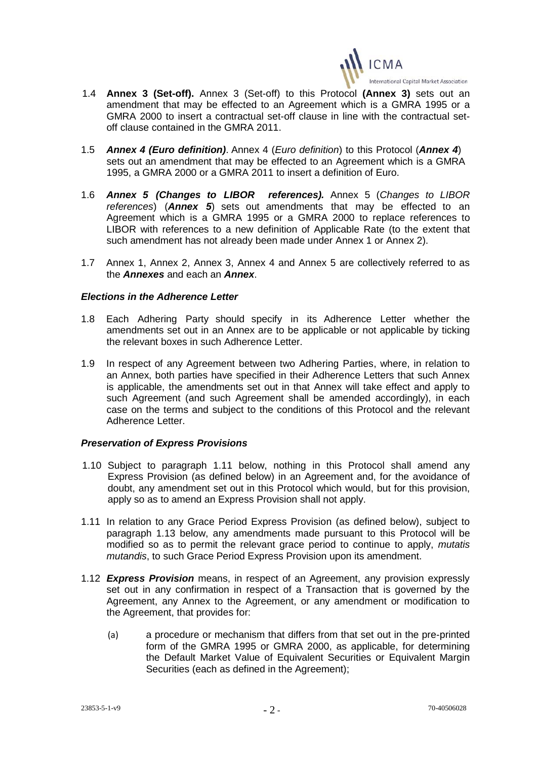

- 1.4 **Annex 3 (Set-off).** Annex 3 (Set-off) to this Protocol **(Annex 3)** sets out an amendment that may be effected to an Agreement which is a GMRA 1995 or a GMRA 2000 to insert a contractual set-off clause in line with the contractual setoff clause contained in the GMRA 2011.
- 1.5 *Annex 4 (Euro definition)*. Annex 4 (*Euro definition*) to this Protocol (*Annex 4*) sets out an amendment that may be effected to an Agreement which is a GMRA 1995, a GMRA 2000 or a GMRA 2011 to insert a definition of Euro.
- 1.6 *Annex 5 (Changes to LIBOR references).* Annex 5 (*Changes to LIBOR references*) (*Annex 5*) sets out amendments that may be effected to an Agreement which is a GMRA 1995 or a GMRA 2000 to replace references to LIBOR with references to a new definition of Applicable Rate (to the extent that such amendment has not already been made under Annex 1 or Annex 2).
- 1.7 Annex 1, Annex 2, Annex 3, Annex 4 and Annex 5 are collectively referred to as the *Annexes* and each an *Annex*.

#### *Elections in the Adherence Letter*

- 1.8 Each Adhering Party should specify in its Adherence Letter whether the amendments set out in an Annex are to be applicable or not applicable by ticking the relevant boxes in such Adherence Letter.
- 1.9 In respect of any Agreement between two Adhering Parties, where, in relation to an Annex, both parties have specified in their Adherence Letters that such Annex is applicable, the amendments set out in that Annex will take effect and apply to such Agreement (and such Agreement shall be amended accordingly), in each case on the terms and subject to the conditions of this Protocol and the relevant Adherence Letter.

#### *Preservation of Express Provisions*

- 1.10 Subject to paragraph 1.11 below, nothing in this Protocol shall amend any Express Provision (as defined below) in an Agreement and, for the avoidance of doubt, any amendment set out in this Protocol which would, but for this provision, apply so as to amend an Express Provision shall not apply.
- 1.11 In relation to any Grace Period Express Provision (as defined below), subject to paragraph 1.13 below, any amendments made pursuant to this Protocol will be modified so as to permit the relevant grace period to continue to apply, *mutatis mutandis*, to such Grace Period Express Provision upon its amendment.
- 1.12 *Express Provision* means, in respect of an Agreement, any provision expressly set out in any confirmation in respect of a Transaction that is governed by the Agreement, any Annex to the Agreement, or any amendment or modification to the Agreement, that provides for:
	- (a) a procedure or mechanism that differs from that set out in the pre-printed form of the GMRA 1995 or GMRA 2000, as applicable, for determining the Default Market Value of Equivalent Securities or Equivalent Margin Securities (each as defined in the Agreement);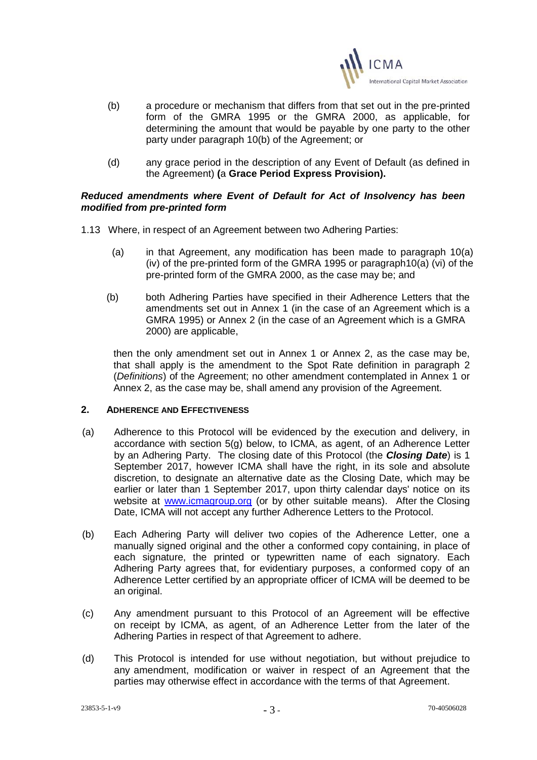

- (b) a procedure or mechanism that differs from that set out in the pre-printed form of the GMRA 1995 or the GMRA 2000, as applicable, for determining the amount that would be payable by one party to the other party under paragraph 10(b) of the Agreement; or
- (d) any grace period in the description of any Event of Default (as defined in the Agreement) **(**a **Grace Period Express Provision).**

## *Reduced amendments where Event of Default for Act of Insolvency has been modified from pre-printed form*

- 1.13 Where, in respect of an Agreement between two Adhering Parties:
	- (a) in that Agreement, any modification has been made to paragraph 10(a) (iv) of the pre-printed form of the GMRA 1995 or paragraph10(a) (vi) of the pre-printed form of the GMRA 2000, as the case may be; and
	- (b) both Adhering Parties have specified in their Adherence Letters that the amendments set out in Annex 1 (in the case of an Agreement which is a GMRA 1995) or Annex 2 (in the case of an Agreement which is a GMRA 2000) are applicable,

then the only amendment set out in Annex 1 or Annex 2, as the case may be, that shall apply is the amendment to the Spot Rate definition in paragraph 2 (*Definitions*) of the Agreement; no other amendment contemplated in Annex 1 or Annex 2, as the case may be, shall amend any provision of the Agreement.

## **2. ADHERENCE AND EFFECTIVENESS**

- (a) Adherence to this Protocol will be evidenced by the execution and delivery, in accordance with section 5(g) below, to ICMA, as agent, of an Adherence Letter by an Adhering Party. The closing date of this Protocol (the *Closing Date*) is 1 September 2017, however ICMA shall have the right, in its sole and absolute discretion, to designate an alternative date as the Closing Date, which may be earlier or later than 1 September 2017, upon thirty calendar days' notice on its website at [www.icmagroup.org](http://www.icmagroup.org/) (or by other suitable means). After the Closing Date, ICMA will not accept any further Adherence Letters to the Protocol.
- (b) Each Adhering Party will deliver two copies of the Adherence Letter, one a manually signed original and the other a conformed copy containing, in place of each signature, the printed or typewritten name of each signatory. Each Adhering Party agrees that, for evidentiary purposes, a conformed copy of an Adherence Letter certified by an appropriate officer of ICMA will be deemed to be an original.
- (c) Any amendment pursuant to this Protocol of an Agreement will be effective on receipt by ICMA, as agent, of an Adherence Letter from the later of the Adhering Parties in respect of that Agreement to adhere.
- (d) This Protocol is intended for use without negotiation, but without prejudice to any amendment, modification or waiver in respect of an Agreement that the parties may otherwise effect in accordance with the terms of that Agreement.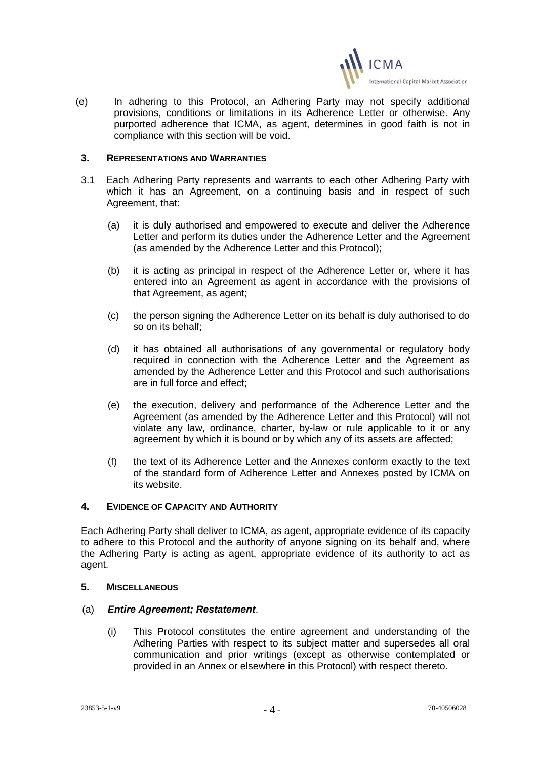

(e) In adhering to this Protocol, an Adhering Party may not specify additional provisions, conditions or limitations in its Adherence Letter or otherwise. Any purported adherence that ICMA, as agent, determines in good faith is not in compliance with this section will be void.

### **3. REPRESENTATIONS AND WARRANTIES**

- 3.1 Each Adhering Party represents and warrants to each other Adhering Party with which it has an Agreement, on a continuing basis and in respect of such Agreement, that:
	- (a) it is duly authorised and empowered to execute and deliver the Adherence Letter and perform its duties under the Adherence Letter and the Agreement (as amended by the Adherence Letter and this Protocol);
	- (b) it is acting as principal in respect of the Adherence Letter or, where it has entered into an Agreement as agent in accordance with the provisions of that Agreement, as agent;
	- (c) the person signing the Adherence Letter on its behalf is duly authorised to do so on its behalf;
	- (d) it has obtained all authorisations of any governmental or regulatory body required in connection with the Adherence Letter and the Agreement as amended by the Adherence Letter and this Protocol and such authorisations are in full force and effect;
	- (e) the execution, delivery and performance of the Adherence Letter and the Agreement (as amended by the Adherence Letter and this Protocol) will not violate any law, ordinance, charter, by-law or rule applicable to it or any agreement by which it is bound or by which any of its assets are affected;
	- (f) the text of its Adherence Letter and the Annexes conform exactly to the text of the standard form of Adherence Letter and Annexes posted by ICMA on its website.

#### **4. EVIDENCE OF CAPACITY AND AUTHORITY**

Each Adhering Party shall deliver to ICMA, as agent, appropriate evidence of its capacity to adhere to this Protocol and the authority of anyone signing on its behalf and, where the Adhering Party is acting as agent, appropriate evidence of its authority to act as agent.

### **5. MISCELLANEOUS**

#### (a) *Entire Agreement; Restatement*.

(i) This Protocol constitutes the entire agreement and understanding of the Adhering Parties with respect to its subject matter and supersedes all oral communication and prior writings (except as otherwise contemplated or provided in an Annex or elsewhere in this Protocol) with respect thereto.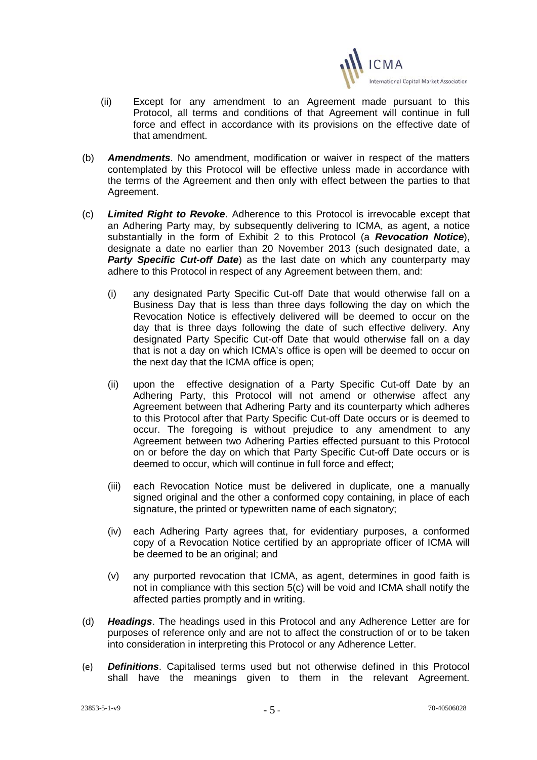

- (ii) Except for any amendment to an Agreement made pursuant to this Protocol, all terms and conditions of that Agreement will continue in full force and effect in accordance with its provisions on the effective date of that amendment.
- (b) *Amendments*. No amendment, modification or waiver in respect of the matters contemplated by this Protocol will be effective unless made in accordance with the terms of the Agreement and then only with effect between the parties to that Agreement.
- (c) *Limited Right to Revoke*. Adherence to this Protocol is irrevocable except that an Adhering Party may, by subsequently delivering to ICMA, as agent, a notice substantially in the form of Exhibit 2 to this Protocol (a *Revocation Notice*), designate a date no earlier than 20 November 2013 (such designated date, a **Party Specific Cut-off Date**) as the last date on which any counterparty may adhere to this Protocol in respect of any Agreement between them, and:
	- (i) any designated Party Specific Cut-off Date that would otherwise fall on a Business Day that is less than three days following the day on which the Revocation Notice is effectively delivered will be deemed to occur on the day that is three days following the date of such effective delivery. Any designated Party Specific Cut-off Date that would otherwise fall on a day that is not a day on which ICMA's office is open will be deemed to occur on the next day that the ICMA office is open;
	- (ii) upon the effective designation of a Party Specific Cut-off Date by an Adhering Party, this Protocol will not amend or otherwise affect any Agreement between that Adhering Party and its counterparty which adheres to this Protocol after that Party Specific Cut-off Date occurs or is deemed to occur. The foregoing is without prejudice to any amendment to any Agreement between two Adhering Parties effected pursuant to this Protocol on or before the day on which that Party Specific Cut-off Date occurs or is deemed to occur, which will continue in full force and effect;
	- (iii) each Revocation Notice must be delivered in duplicate, one a manually signed original and the other a conformed copy containing, in place of each signature, the printed or typewritten name of each signatory;
	- (iv) each Adhering Party agrees that, for evidentiary purposes, a conformed copy of a Revocation Notice certified by an appropriate officer of ICMA will be deemed to be an original; and
	- (v) any purported revocation that ICMA, as agent, determines in good faith is not in compliance with this section 5(c) will be void and ICMA shall notify the affected parties promptly and in writing.
- (d) *Headings*. The headings used in this Protocol and any Adherence Letter are for purposes of reference only and are not to affect the construction of or to be taken into consideration in interpreting this Protocol or any Adherence Letter.
- (e) *Definitions*. Capitalised terms used but not otherwise defined in this Protocol shall have the meanings given to them in the relevant Agreement.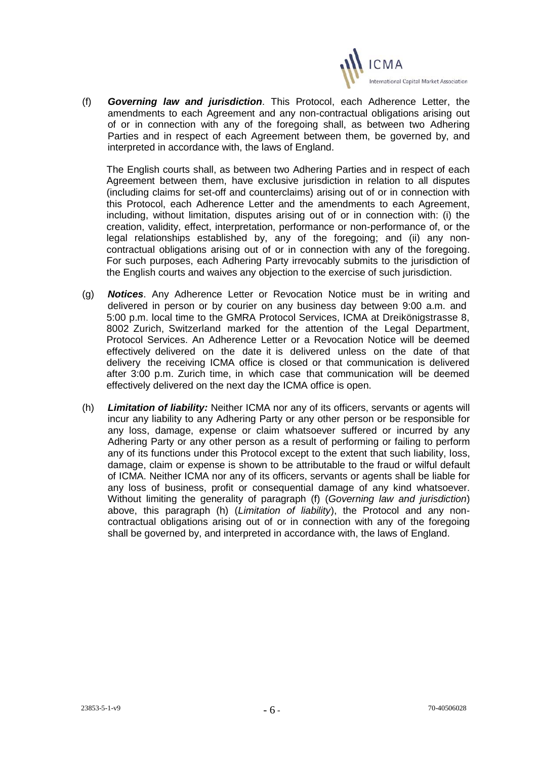

(f) *Governing law and jurisdiction*. This Protocol, each Adherence Letter, the amendments to each Agreement and any non-contractual obligations arising out of or in connection with any of the foregoing shall, as between two Adhering Parties and in respect of each Agreement between them, be governed by, and interpreted in accordance with, the laws of England.

The English courts shall, as between two Adhering Parties and in respect of each Agreement between them, have exclusive jurisdiction in relation to all disputes (including claims for set-off and counterclaims) arising out of or in connection with this Protocol, each Adherence Letter and the amendments to each Agreement, including, without limitation, disputes arising out of or in connection with: (i) the creation, validity, effect, interpretation, performance or non-performance of, or the legal relationships established by, any of the foregoing; and (ii) any noncontractual obligations arising out of or in connection with any of the foregoing. For such purposes, each Adhering Party irrevocably submits to the jurisdiction of the English courts and waives any objection to the exercise of such jurisdiction.

- (g) *Notices*. Any Adherence Letter or Revocation Notice must be in writing and delivered in person or by courier on any business day between 9:00 a.m. and 5:00 p.m. local time to the GMRA Protocol Services, ICMA at Dreikönigstrasse 8, 8002 Zurich, Switzerland marked for the attention of the Legal Department, Protocol Services. An Adherence Letter or a Revocation Notice will be deemed effectively delivered on the date it is delivered unless on the date of that delivery the receiving ICMA office is closed or that communication is delivered after 3:00 p.m. Zurich time, in which case that communication will be deemed effectively delivered on the next day the ICMA office is open.
- (h) *Limitation of liability:* Neither ICMA nor any of its officers, servants or agents will incur any liability to any Adhering Party or any other person or be responsible for any loss, damage, expense or claim whatsoever suffered or incurred by any Adhering Party or any other person as a result of performing or failing to perform any of its functions under this Protocol except to the extent that such liability, loss, damage, claim or expense is shown to be attributable to the fraud or wilful default of ICMA. Neither ICMA nor any of its officers, servants or agents shall be liable for any loss of business, profit or consequential damage of any kind whatsoever. Without limiting the generality of paragraph (f) (*Governing law and jurisdiction*) above, this paragraph (h) (*Limitation of liability*), the Protocol and any noncontractual obligations arising out of or in connection with any of the foregoing shall be governed by, and interpreted in accordance with, the laws of England.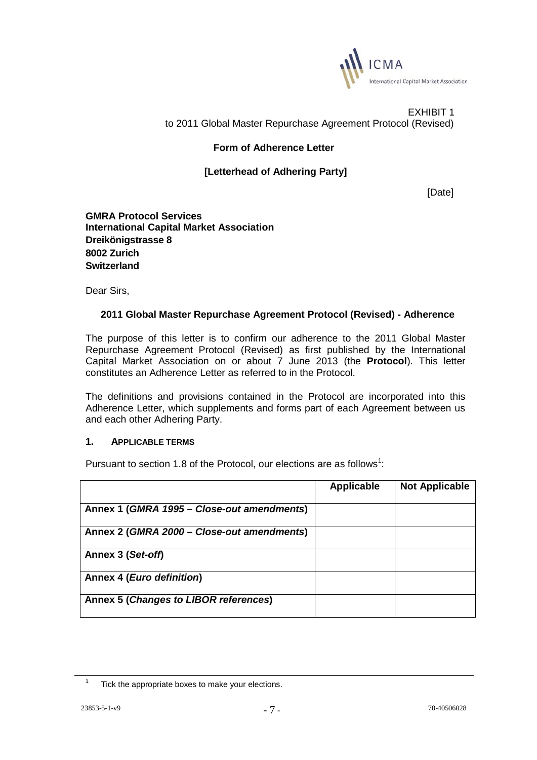

### EXHIBIT 1 to 2011 Global Master Repurchase Agreement Protocol (Revised)

# **Form of Adherence Letter**

# **[Letterhead of Adhering Party]**

[Date]

# **GMRA Protocol Services International Capital Market Association Dreikönigstrasse 8 8002 Zurich Switzerland**

Dear Sirs,

# **2011 Global Master Repurchase Agreement Protocol (Revised) - Adherence**

The purpose of this letter is to confirm our adherence to the 2011 Global Master Repurchase Agreement Protocol (Revised) as first published by the International Capital Market Association on or about 7 June 2013 (the **Protocol**). This letter constitutes an Adherence Letter as referred to in the Protocol.

The definitions and provisions contained in the Protocol are incorporated into this Adherence Letter, which supplements and forms part of each Agreement between us and each other Adhering Party.

#### **1. APPLICABLE TERMS**

Pursuant to section 1.8 of the Protocol, our elections are as follows<sup>1</sup>:

|                                            | Applicable | <b>Not Applicable</b> |
|--------------------------------------------|------------|-----------------------|
| Annex 1 (GMRA 1995 – Close-out amendments) |            |                       |
|                                            |            |                       |
| Annex 2 (GMRA 2000 – Close-out amendments) |            |                       |
|                                            |            |                       |
| Annex 3 (Set-off)                          |            |                       |
|                                            |            |                       |
| Annex 4 ( <i>Euro definition</i> )         |            |                       |
|                                            |            |                       |
| Annex 5 (Changes to LIBOR references)      |            |                       |
|                                            |            |                       |

 $1$  Tick the appropriate boxes to make your elections.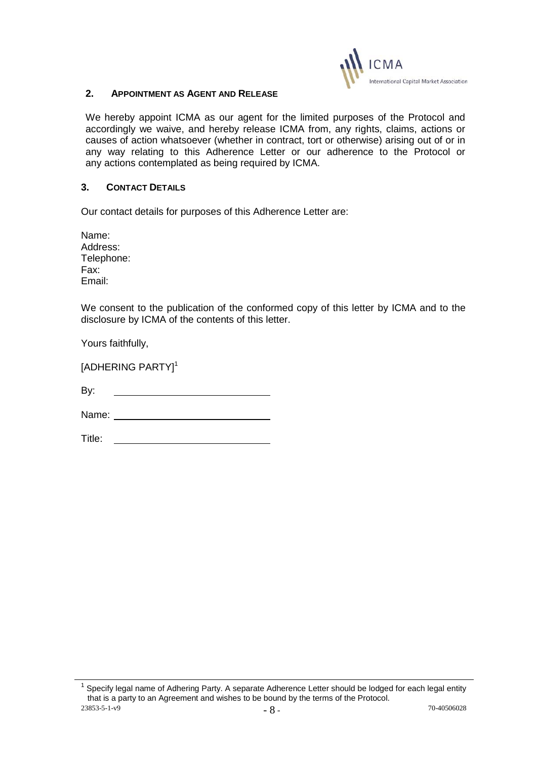

## **2. APPOINTMENT AS AGENT AND RELEASE**

We hereby appoint ICMA as our agent for the limited purposes of the Protocol and accordingly we waive, and hereby release ICMA from, any rights, claims, actions or causes of action whatsoever (whether in contract, tort or otherwise) arising out of or in any way relating to this Adherence Letter or our adherence to the Protocol or any actions contemplated as being required by ICMA.

# **3. CONTACT DETAILS**

Our contact details for purposes of this Adherence Letter are:

Name: Address: Telephone: Fax: Email:

We consent to the publication of the conformed copy of this letter by ICMA and to the disclosure by ICMA of the contents of this letter.

Yours faithfully,

By:

Name: when the contract of the contract of the contract of the contract of the contract of the contract of the contract of the contract of the contract of the contract of the contract of the contract of the contract of the

Title: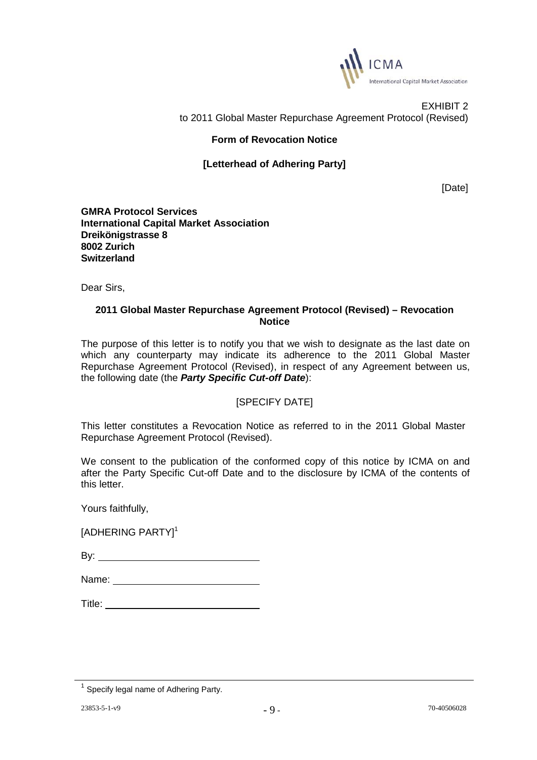

EXHIBIT 2 to 2011 Global Master Repurchase Agreement Protocol (Revised)

# **Form of Revocation Notice**

# **[Letterhead of Adhering Party]**

[Date]

### **GMRA Protocol Services International Capital Market Association Dreikönigstrasse 8 8002 Zurich Switzerland**

Dear Sirs,

# **2011 Global Master Repurchase Agreement Protocol (Revised) – Revocation Notice**

The purpose of this letter is to notify you that we wish to designate as the last date on which any counterparty may indicate its adherence to the 2011 Global Master Repurchase Agreement Protocol (Revised), in respect of any Agreement between us, the following date (the *Party Specific Cut-off Date*):

# [SPECIFY DATE]

This letter constitutes a Revocation Notice as referred to in the 2011 Global Master Repurchase Agreement Protocol (Revised).

We consent to the publication of the conformed copy of this notice by ICMA on and after the Party Specific Cut-off Date and to the disclosure by ICMA of the contents of this letter.

Yours faithfully,

[ADHERING PARTY]<sup>1</sup>

| By: |
|-----|
|-----|

Specify legal name of Adhering Party.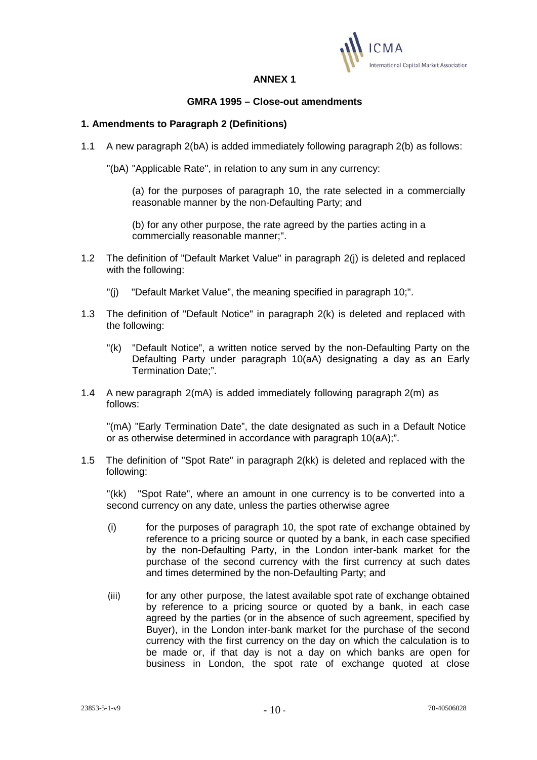

#### **GMRA 1995 – Close-out amendments**

### **1. Amendments to Paragraph 2 (Definitions)**

- 1.1 A new paragraph 2(bA) is added immediately following paragraph 2(b) as follows:
	- "(bA) "Applicable Rate", in relation to any sum in any currency:

(a) for the purposes of paragraph 10, the rate selected in a commercially reasonable manner by the non-Defaulting Party; and

(b) for any other purpose, the rate agreed by the parties acting in a commercially reasonable manner;".

- 1.2 The definition of "Default Market Value" in paragraph 2(j) is deleted and replaced with the following:
	- "(j) "Default Market Value", the meaning specified in paragraph 10;".
- 1.3 The definition of "Default Notice" in paragraph 2(k) is deleted and replaced with the following:
	- "(k) "Default Notice", a written notice served by the non-Defaulting Party on the Defaulting Party under paragraph 10(aA) designating a day as an Early Termination Date;".
- 1.4 A new paragraph 2(mA) is added immediately following paragraph 2(m) as follows:

"(mA) "Early Termination Date", the date designated as such in a Default Notice or as otherwise determined in accordance with paragraph 10(aA);".

1.5 The definition of "Spot Rate" in paragraph 2(kk) is deleted and replaced with the following:

"(kk) "Spot Rate", where an amount in one currency is to be converted into a second currency on any date, unless the parties otherwise agree

- (i) for the purposes of paragraph 10, the spot rate of exchange obtained by reference to a pricing source or quoted by a bank, in each case specified by the non-Defaulting Party, in the London inter-bank market for the purchase of the second currency with the first currency at such dates and times determined by the non-Defaulting Party; and
- (iii) for any other purpose, the latest available spot rate of exchange obtained by reference to a pricing source or quoted by a bank, in each case agreed by the parties (or in the absence of such agreement, specified by Buyer), in the London inter-bank market for the purchase of the second currency with the first currency on the day on which the calculation is to be made or, if that day is not a day on which banks are open for business in London, the spot rate of exchange quoted at close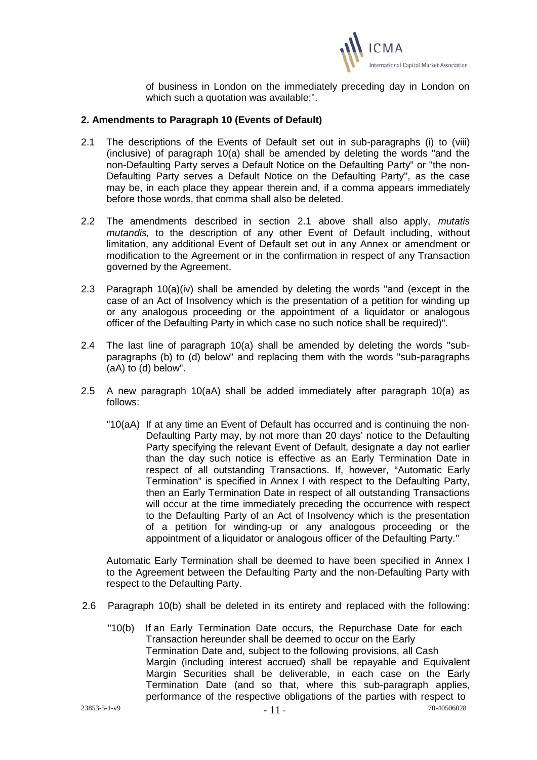

of business in London on the immediately preceding day in London on which such a quotation was available:".

### **2. Amendments to Paragraph 10 (Events of Default)**

- 2.1 The descriptions of the Events of Default set out in sub-paragraphs (i) to (viii) (inclusive) of paragraph 10(a) shall be amended by deleting the words "and the non-Defaulting Party serves a Default Notice on the Defaulting Party" or "the non-Defaulting Party serves a Default Notice on the Defaulting Party", as the case may be, in each place they appear therein and, if a comma appears immediately before those words, that comma shall also be deleted.
- 2.2 The amendments described in section 2.1 above shall also apply, *mutatis mutandis,* to the description of any other Event of Default including, without limitation, any additional Event of Default set out in any Annex or amendment or modification to the Agreement or in the confirmation in respect of any Transaction governed by the Agreement.
- 2.3 Paragraph 10(a)(iv) shall be amended by deleting the words "and (except in the case of an Act of Insolvency which is the presentation of a petition for winding up or any analogous proceeding or the appointment of a liquidator or analogous officer of the Defaulting Party in which case no such notice shall be required)".
- 2.4 The last line of paragraph 10(a) shall be amended by deleting the words "subparagraphs (b) to (d) below" and replacing them with the words "sub-paragraphs (aA) to (d) below".
- 2.5 A new paragraph 10(aA) shall be added immediately after paragraph 10(a) as follows:
	- "10(aA) If at any time an Event of Default has occurred and is continuing the non-Defaulting Party may, by not more than 20 days' notice to the Defaulting Party specifying the relevant Event of Default, designate a day not earlier than the day such notice is effective as an Early Termination Date in respect of all outstanding Transactions. If, however, "Automatic Early Termination" is specified in Annex I with respect to the Defaulting Party, then an Early Termination Date in respect of all outstanding Transactions will occur at the time immediately preceding the occurrence with respect to the Defaulting Party of an Act of Insolvency which is the presentation of a petition for winding-up or any analogous proceeding or the appointment of a liquidator or analogous officer of the Defaulting Party."

Automatic Early Termination shall be deemed to have been specified in Annex I to the Agreement between the Defaulting Party and the non-Defaulting Party with respect to the Defaulting Party.

- 2.6 Paragraph 10(b) shall be deleted in its entirety and replaced with the following:
- $-11$  70-40506028 "10(b) If an Early Termination Date occurs, the Repurchase Date for each Transaction hereunder shall be deemed to occur on the Early Termination Date and, subject to the following provisions, all Cash Margin (including interest accrued) shall be repayable and Equivalent Margin Securities shall be deliverable, in each case on the Early Termination Date (and so that, where this sub-paragraph applies, performance of the respective obligations of the parties with respect to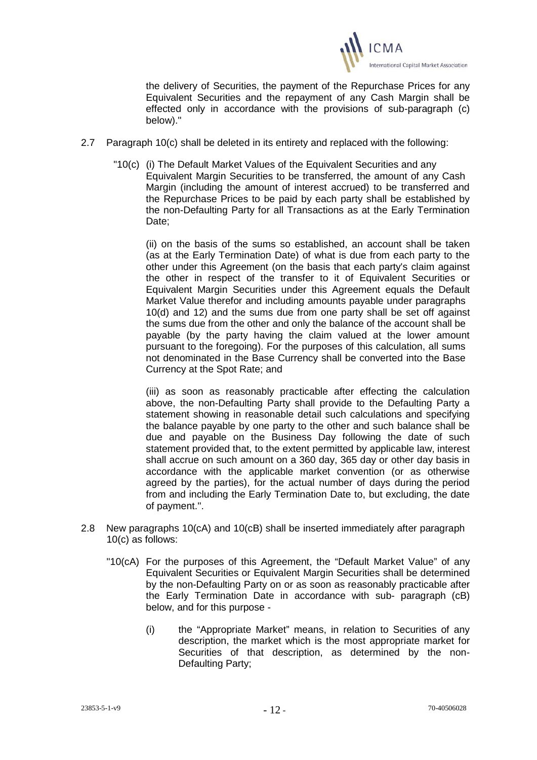

the delivery of Securities, the payment of the Repurchase Prices for any Equivalent Securities and the repayment of any Cash Margin shall be effected only in accordance with the provisions of sub-paragraph (c) below)."

- 2.7 Paragraph 10(c) shall be deleted in its entirety and replaced with the following:
	- "10(c) (i) The Default Market Values of the Equivalent Securities and any Equivalent Margin Securities to be transferred, the amount of any Cash Margin (including the amount of interest accrued) to be transferred and the Repurchase Prices to be paid by each party shall be established by the non-Defaulting Party for all Transactions as at the Early Termination Date:

(ii) on the basis of the sums so established, an account shall be taken (as at the Early Termination Date) of what is due from each party to the other under this Agreement (on the basis that each party's claim against the other in respect of the transfer to it of Equivalent Securities or Equivalent Margin Securities under this Agreement equals the Default Market Value therefor and including amounts payable under paragraphs 10(d) and 12) and the sums due from one party shall be set off against the sums due from the other and only the balance of the account shall be payable (by the party having the claim valued at the lower amount pursuant to the foregoing). For the purposes of this calculation, all sums not denominated in the Base Currency shall be converted into the Base Currency at the Spot Rate; and

(iii) as soon as reasonably practicable after effecting the calculation above, the non-Defaulting Party shall provide to the Defaulting Party a statement showing in reasonable detail such calculations and specifying the balance payable by one party to the other and such balance shall be due and payable on the Business Day following the date of such statement provided that, to the extent permitted by applicable law, interest shall accrue on such amount on a 360 day, 365 day or other day basis in accordance with the applicable market convention (or as otherwise agreed by the parties), for the actual number of days during the period from and including the Early Termination Date to, but excluding, the date of payment.".

- 2.8 New paragraphs 10(cA) and 10(cB) shall be inserted immediately after paragraph 10(c) as follows:
	- "10(cA) For the purposes of this Agreement, the "Default Market Value" of any Equivalent Securities or Equivalent Margin Securities shall be determined by the non-Defaulting Party on or as soon as reasonably practicable after the Early Termination Date in accordance with sub- paragraph (cB) below, and for this purpose -
		- (i) the "Appropriate Market" means, in relation to Securities of any description, the market which is the most appropriate market for Securities of that description, as determined by the non-Defaulting Party;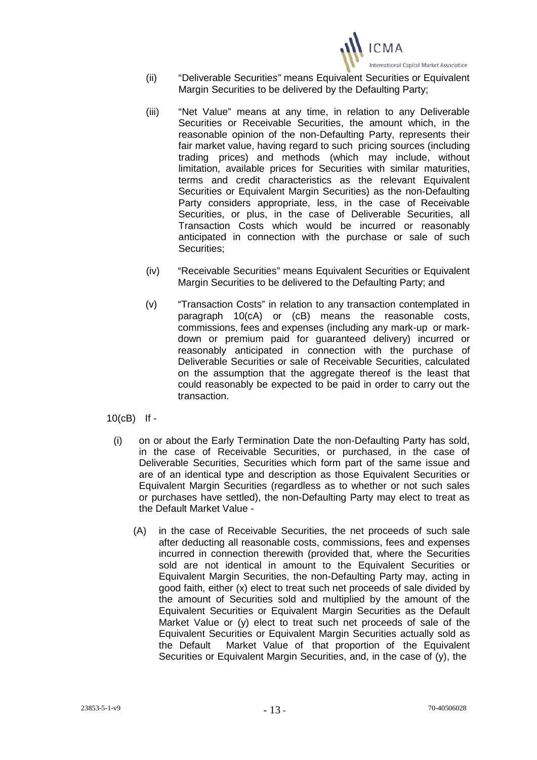

- (ii) "Deliverable Securitie*s"* means Equivalent Securities or Equivalent Margin Securities to be delivered by the Defaulting Party;
- (iii) "Net Value" means at any time, in relation to any Deliverable Securities or Receivable Securities, the amount which, in the reasonable opinion of the non-Defaulting Party, represents their fair market value, having regard to such pricing sources (including trading prices) and methods (which may include, without limitation, available prices for Securities with similar maturities, terms and credit characteristics as the relevant Equivalent Securities or Equivalent Margin Securities) as the non-Defaulting Party considers appropriate, less, in the case of Receivable Securities, or plus, in the case of Deliverable Securities, all Transaction Costs which would be incurred or reasonably anticipated in connection with the purchase or sale of such Securities:
- (iv) "Receivable Securities" means Equivalent Securities or Equivalent Margin Securities to be delivered to the Defaulting Party; and
- (v) "Transaction Costs" in relation to any transaction contemplated in paragraph 10(cA) or (cB) means the reasonable costs, commissions, fees and expenses (including any mark-up or markdown or premium paid for guaranteed delivery) incurred or reasonably anticipated in connection with the purchase of Deliverable Securities or sale of Receivable Securities, calculated on the assumption that the aggregate thereof is the least that could reasonably be expected to be paid in order to carry out the transaction.
- 10(cB) If -
- (i) on or about the Early Termination Date the non-Defaulting Party has sold, in the case of Receivable Securities, or purchased, in the case of Deliverable Securities, Securities which form part of the same issue and are of an identical type and description as those Equivalent Securities or Equivalent Margin Securities (regardless as to whether or not such sales or purchases have settled), the non-Defaulting Party may elect to treat as the Default Market Value -
	- (A) in the case of Receivable Securities, the net proceeds of such sale after deducting all reasonable costs, commissions, fees and expenses incurred in connection therewith (provided that, where the Securities sold are not identical in amount to the Equivalent Securities or Equivalent Margin Securities, the non-Defaulting Party may, acting in good faith, either (x) elect to treat such net proceeds of sale divided by the amount of Securities sold and multiplied by the amount of the Equivalent Securities or Equivalent Margin Securities as the Default Market Value or (y) elect to treat such net proceeds of sale of the Equivalent Securities or Equivalent Margin Securities actually sold as the Default Market Value of that proportion of the Equivalent Securities or Equivalent Margin Securities, and, in the case of (y), the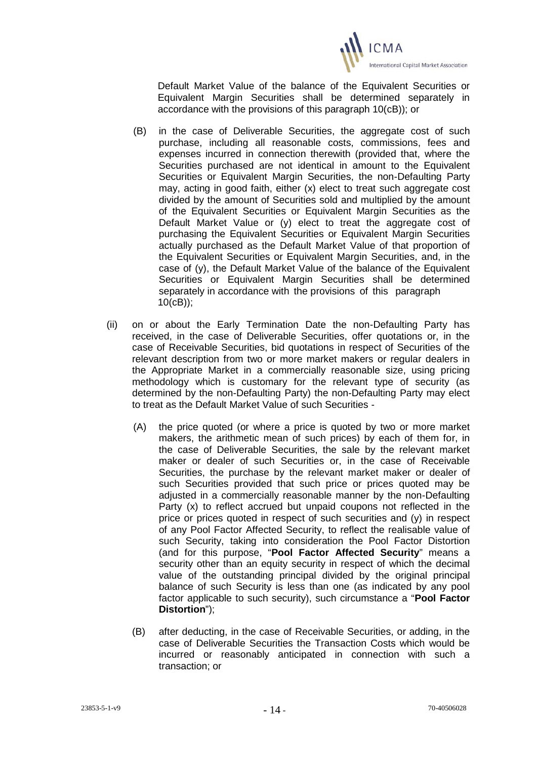

Default Market Value of the balance of the Equivalent Securities or Equivalent Margin Securities shall be determined separately in accordance with the provisions of this paragraph 10(cB)); or

- (B) in the case of Deliverable Securities, the aggregate cost of such purchase, including all reasonable costs, commissions, fees and expenses incurred in connection therewith (provided that, where the Securities purchased are not identical in amount to the Equivalent Securities or Equivalent Margin Securities, the non-Defaulting Party may, acting in good faith, either (x) elect to treat such aggregate cost divided by the amount of Securities sold and multiplied by the amount of the Equivalent Securities or Equivalent Margin Securities as the Default Market Value or (y) elect to treat the aggregate cost of purchasing the Equivalent Securities or Equivalent Margin Securities actually purchased as the Default Market Value of that proportion of the Equivalent Securities or Equivalent Margin Securities, and, in the case of (y), the Default Market Value of the balance of the Equivalent Securities or Equivalent Margin Securities shall be determined separately in accordance with the provisions of this paragraph 10(cB));
- (ii) on or about the Early Termination Date the non-Defaulting Party has received, in the case of Deliverable Securities, offer quotations or, in the case of Receivable Securities, bid quotations in respect of Securities of the relevant description from two or more market makers or regular dealers in the Appropriate Market in a commercially reasonable size, using pricing methodology which is customary for the relevant type of security (as determined by the non-Defaulting Party) the non-Defaulting Party may elect to treat as the Default Market Value of such Securities -
	- (A) the price quoted (or where a price is quoted by two or more market makers, the arithmetic mean of such prices) by each of them for, in the case of Deliverable Securities, the sale by the relevant market maker or dealer of such Securities or, in the case of Receivable Securities, the purchase by the relevant market maker or dealer of such Securities provided that such price or prices quoted may be adjusted in a commercially reasonable manner by the non-Defaulting Party (x) to reflect accrued but unpaid coupons not reflected in the price or prices quoted in respect of such securities and (y) in respect of any Pool Factor Affected Security, to reflect the realisable value of such Security, taking into consideration the Pool Factor Distortion (and for this purpose, "**Pool Factor Affected Security**" means a security other than an equity security in respect of which the decimal value of the outstanding principal divided by the original principal balance of such Security is less than one (as indicated by any pool factor applicable to such security), such circumstance a "**Pool Factor Distortion**");
	- (B) after deducting, in the case of Receivable Securities, or adding, in the case of Deliverable Securities the Transaction Costs which would be incurred or reasonably anticipated in connection with such a transaction; or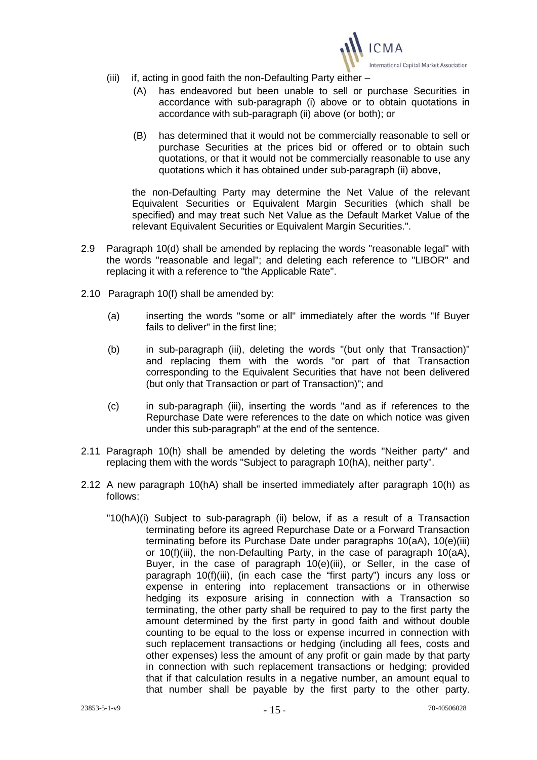

- (iii) if, acting in good faith the non-Defaulting Party either
	- (A) has endeavored but been unable to sell or purchase Securities in accordance with sub-paragraph (i) above or to obtain quotations in accordance with sub-paragraph (ii) above (or both); or
	- (B) has determined that it would not be commercially reasonable to sell or purchase Securities at the prices bid or offered or to obtain such quotations, or that it would not be commercially reasonable to use any quotations which it has obtained under sub-paragraph (ii) above,

the non-Defaulting Party may determine the Net Value of the relevant Equivalent Securities or Equivalent Margin Securities (which shall be specified) and may treat such Net Value as the Default Market Value of the relevant Equivalent Securities or Equivalent Margin Securities.".

- 2.9 Paragraph 10(d) shall be amended by replacing the words "reasonable legal" with the words "reasonable and legal"; and deleting each reference to "LIBOR" and replacing it with a reference to "the Applicable Rate".
- 2.10 Paragraph 10(f) shall be amended by:
	- (a) inserting the words "some or all" immediately after the words "If Buyer fails to deliver" in the first line;
	- (b) in sub-paragraph (iii), deleting the words "(but only that Transaction)" and replacing them with the words "or part of that Transaction corresponding to the Equivalent Securities that have not been delivered (but only that Transaction or part of Transaction)"; and
	- (c) in sub-paragraph (iii), inserting the words "and as if references to the Repurchase Date were references to the date on which notice was given under this sub-paragraph" at the end of the sentence.
- 2.11 Paragraph 10(h) shall be amended by deleting the words "Neither party" and replacing them with the words "Subject to paragraph 10(hA), neither party".
- 2.12 A new paragraph 10(hA) shall be inserted immediately after paragraph 10(h) as follows:
	- "10(hA)(i) Subject to sub-paragraph (ii) below, if as a result of a Transaction terminating before its agreed Repurchase Date or a Forward Transaction terminating before its Purchase Date under paragraphs 10(aA), 10(e)(iii) or 10(f)(iii), the non-Defaulting Party, in the case of paragraph 10(aA), Buyer, in the case of paragraph 10(e)(iii), or Seller, in the case of paragraph 10(f)(iii), (in each case the "first party") incurs any loss or expense in entering into replacement transactions or in otherwise hedging its exposure arising in connection with a Transaction so terminating, the other party shall be required to pay to the first party the amount determined by the first party in good faith and without double counting to be equal to the loss or expense incurred in connection with such replacement transactions or hedging (including all fees, costs and other expenses) less the amount of any profit or gain made by that party in connection with such replacement transactions or hedging; provided that if that calculation results in a negative number, an amount equal to that number shall be payable by the first party to the other party.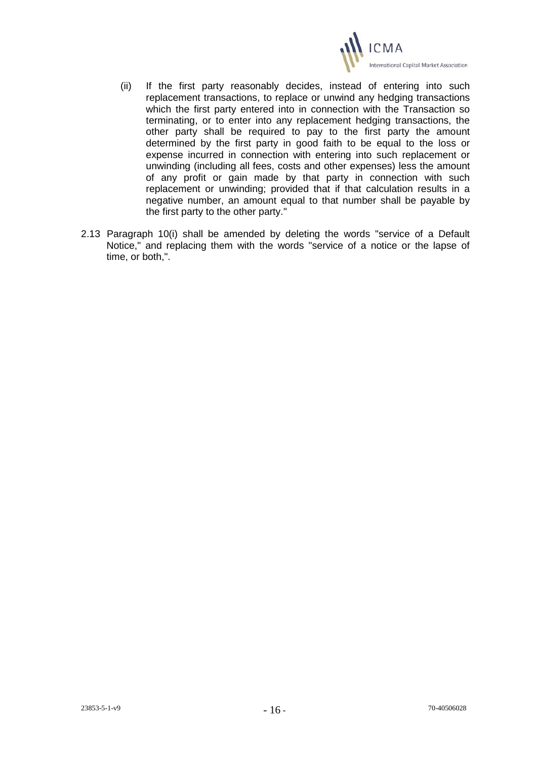

- (ii) If the first party reasonably decides, instead of entering into such replacement transactions, to replace or unwind any hedging transactions which the first party entered into in connection with the Transaction so terminating, or to enter into any replacement hedging transactions, the other party shall be required to pay to the first party the amount determined by the first party in good faith to be equal to the loss or expense incurred in connection with entering into such replacement or unwinding (including all fees, costs and other expenses) less the amount of any profit or gain made by that party in connection with such replacement or unwinding; provided that if that calculation results in a negative number, an amount equal to that number shall be payable by the first party to the other party."
- 2.13 Paragraph 10(i) shall be amended by deleting the words "service of a Default Notice," and replacing them with the words "service of a notice or the lapse of time, or both,".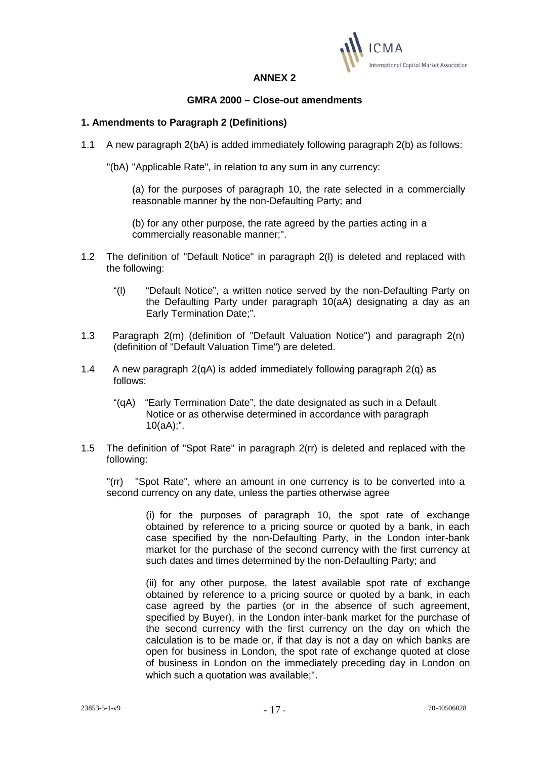

#### **GMRA 2000 – Close-out amendments**

### **1. Amendments to Paragraph 2 (Definitions)**

- 1.1 A new paragraph 2(bA) is added immediately following paragraph 2(b) as follows:
	- "(bA) "Applicable Rate", in relation to any sum in any currency:

(a) for the purposes of paragraph 10, the rate selected in a commercially reasonable manner by the non-Defaulting Party; and

(b) for any other purpose, the rate agreed by the parties acting in a commercially reasonable manner;".

- 1.2 The definition of "Default Notice" in paragraph 2(l) is deleted and replaced with the following:
	- "(l) "Default Notice", a written notice served by the non-Defaulting Party on the Defaulting Party under paragraph 10(aA) designating a day as an Early Termination Date;".
- 1.3 Paragraph 2(m) (definition of "Default Valuation Notice") and paragraph 2(n) (definition of "Default Valuation Time") are deleted.
- 1.4 A new paragraph 2(qA) is added immediately following paragraph 2(q) as follows:
	- "(qA) "Early Termination Date", the date designated as such in a Default Notice or as otherwise determined in accordance with paragraph 10(aA);".
- 1.5 The definition of "Spot Rate" in paragraph 2(rr) is deleted and replaced with the following:

"(rr) "Spot Rate", where an amount in one currency is to be converted into a second currency on any date, unless the parties otherwise agree

> (i) for the purposes of paragraph 10, the spot rate of exchange obtained by reference to a pricing source or quoted by a bank, in each case specified by the non-Defaulting Party, in the London inter-bank market for the purchase of the second currency with the first currency at such dates and times determined by the non-Defaulting Party; and

> (ii) for any other purpose, the latest available spot rate of exchange obtained by reference to a pricing source or quoted by a bank, in each case agreed by the parties (or in the absence of such agreement, specified by Buyer), in the London inter-bank market for the purchase of the second currency with the first currency on the day on which the calculation is to be made or, if that day is not a day on which banks are open for business in London, the spot rate of exchange quoted at close of business in London on the immediately preceding day in London on which such a quotation was available;".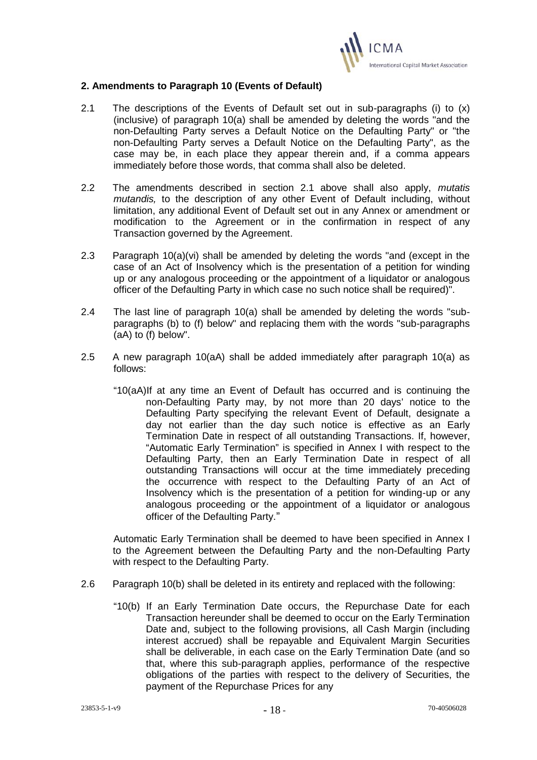

## **2. Amendments to Paragraph 10 (Events of Default)**

- 2.1 The descriptions of the Events of Default set out in sub-paragraphs (i) to (x) (inclusive) of paragraph 10(a) shall be amended by deleting the words "and the non-Defaulting Party serves a Default Notice on the Defaulting Party" or "the non-Defaulting Party serves a Default Notice on the Defaulting Party", as the case may be, in each place they appear therein and, if a comma appears immediately before those words, that comma shall also be deleted.
- 2.2 The amendments described in section 2.1 above shall also apply, *mutatis mutandis,* to the description of any other Event of Default including, without limitation, any additional Event of Default set out in any Annex or amendment or modification to the Agreement or in the confirmation in respect of any Transaction governed by the Agreement.
- 2.3 Paragraph 10(a)(vi) shall be amended by deleting the words "and (except in the case of an Act of Insolvency which is the presentation of a petition for winding up or any analogous proceeding or the appointment of a liquidator or analogous officer of the Defaulting Party in which case no such notice shall be required)".
- 2.4 The last line of paragraph 10(a) shall be amended by deleting the words "subparagraphs (b) to (f) below" and replacing them with the words "sub-paragraphs (aA) to (f) below".
- 2.5 A new paragraph 10(aA) shall be added immediately after paragraph 10(a) as follows:
	- "10(aA)If at any time an Event of Default has occurred and is continuing the non-Defaulting Party may, by not more than 20 days' notice to the Defaulting Party specifying the relevant Event of Default, designate a day not earlier than the day such notice is effective as an Early Termination Date in respect of all outstanding Transactions. If, however, "Automatic Early Termination" is specified in Annex I with respect to the Defaulting Party, then an Early Termination Date in respect of all outstanding Transactions will occur at the time immediately preceding the occurrence with respect to the Defaulting Party of an Act of Insolvency which is the presentation of a petition for winding-up or any analogous proceeding or the appointment of a liquidator or analogous officer of the Defaulting Party."

Automatic Early Termination shall be deemed to have been specified in Annex I to the Agreement between the Defaulting Party and the non-Defaulting Party with respect to the Defaulting Party.

- 2.6 Paragraph 10(b) shall be deleted in its entirety and replaced with the following:
	- "10(b) If an Early Termination Date occurs, the Repurchase Date for each Transaction hereunder shall be deemed to occur on the Early Termination Date and, subject to the following provisions, all Cash Margin (including interest accrued) shall be repayable and Equivalent Margin Securities shall be deliverable, in each case on the Early Termination Date (and so that, where this sub-paragraph applies, performance of the respective obligations of the parties with respect to the delivery of Securities, the payment of the Repurchase Prices for any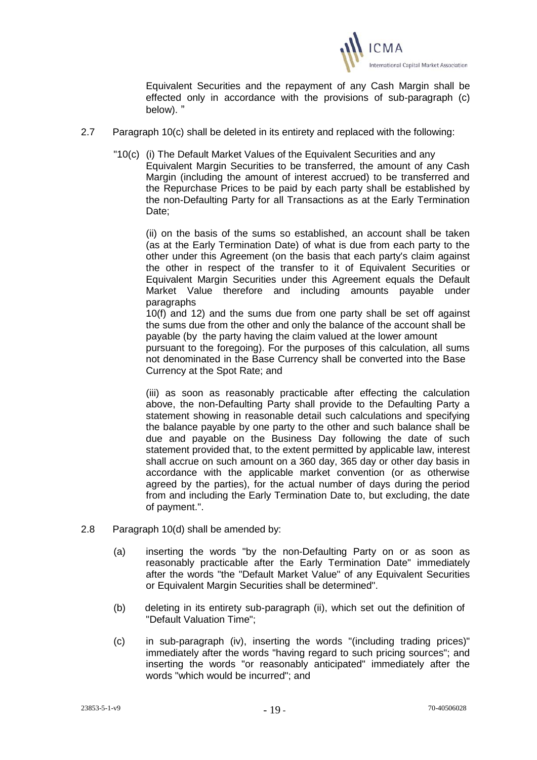

Equivalent Securities and the repayment of any Cash Margin shall be effected only in accordance with the provisions of sub-paragraph (c) below). "

- 2.7 Paragraph 10(c) shall be deleted in its entirety and replaced with the following:
	- "10(c) (i) The Default Market Values of the Equivalent Securities and any Equivalent Margin Securities to be transferred, the amount of any Cash Margin (including the amount of interest accrued) to be transferred and the Repurchase Prices to be paid by each party shall be established by the non-Defaulting Party for all Transactions as at the Early Termination Date:

(ii) on the basis of the sums so established, an account shall be taken (as at the Early Termination Date) of what is due from each party to the other under this Agreement (on the basis that each party's claim against the other in respect of the transfer to it of Equivalent Securities or Equivalent Margin Securities under this Agreement equals the Default Market Value therefore and including amounts payable under paragraphs

10(f) and 12) and the sums due from one party shall be set off against the sums due from the other and only the balance of the account shall be payable (by the party having the claim valued at the lower amount pursuant to the foregoing). For the purposes of this calculation, all sums not denominated in the Base Currency shall be converted into the Base Currency at the Spot Rate; and

(iii) as soon as reasonably practicable after effecting the calculation above, the non-Defaulting Party shall provide to the Defaulting Party a statement showing in reasonable detail such calculations and specifying the balance payable by one party to the other and such balance shall be due and payable on the Business Day following the date of such statement provided that, to the extent permitted by applicable law, interest shall accrue on such amount on a 360 day, 365 day or other day basis in accordance with the applicable market convention (or as otherwise agreed by the parties), for the actual number of days during the period from and including the Early Termination Date to, but excluding, the date of payment.".

- 2.8 Paragraph 10(d) shall be amended by:
	- (a) inserting the words "by the non-Defaulting Party on or as soon as reasonably practicable after the Early Termination Date" immediately after the words "the "Default Market Value" of any Equivalent Securities or Equivalent Margin Securities shall be determined".
	- (b) deleting in its entirety sub-paragraph (ii), which set out the definition of "Default Valuation Time";
	- (c) in sub-paragraph (iv), inserting the words "(including trading prices)" immediately after the words "having regard to such pricing sources"; and inserting the words "or reasonably anticipated" immediately after the words "which would be incurred"; and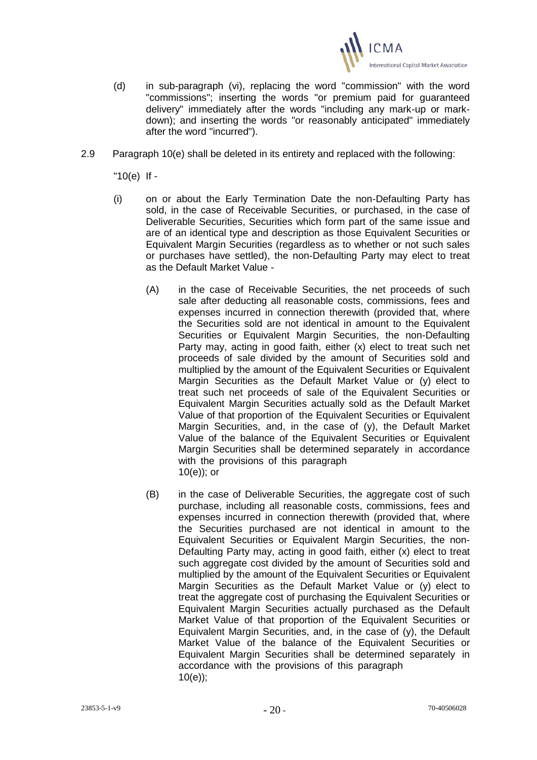

- (d) in sub-paragraph (vi), replacing the word "commission" with the word "commissions"; inserting the words "or premium paid for guaranteed delivery" immediately after the words "including any mark-up or markdown); and inserting the words "or reasonably anticipated" immediately after the word "incurred").
- 2.9 Paragraph 10(e) shall be deleted in its entirety and replaced with the following:

"10(e) If -

- (i) on or about the Early Termination Date the non-Defaulting Party has sold, in the case of Receivable Securities, or purchased, in the case of Deliverable Securities, Securities which form part of the same issue and are of an identical type and description as those Equivalent Securities or Equivalent Margin Securities (regardless as to whether or not such sales or purchases have settled), the non-Defaulting Party may elect to treat as the Default Market Value -
	- (A) in the case of Receivable Securities, the net proceeds of such sale after deducting all reasonable costs, commissions, fees and expenses incurred in connection therewith (provided that, where the Securities sold are not identical in amount to the Equivalent Securities or Equivalent Margin Securities, the non-Defaulting Party may, acting in good faith, either (x) elect to treat such net proceeds of sale divided by the amount of Securities sold and multiplied by the amount of the Equivalent Securities or Equivalent Margin Securities as the Default Market Value or (y) elect to treat such net proceeds of sale of the Equivalent Securities or Equivalent Margin Securities actually sold as the Default Market Value of that proportion of the Equivalent Securities or Equivalent Margin Securities, and, in the case of (y), the Default Market Value of the balance of the Equivalent Securities or Equivalent Margin Securities shall be determined separately in accordance with the provisions of this paragraph 10(e)); or
	- (B) in the case of Deliverable Securities, the aggregate cost of such purchase, including all reasonable costs, commissions, fees and expenses incurred in connection therewith (provided that, where the Securities purchased are not identical in amount to the Equivalent Securities or Equivalent Margin Securities, the non-Defaulting Party may, acting in good faith, either (x) elect to treat such aggregate cost divided by the amount of Securities sold and multiplied by the amount of the Equivalent Securities or Equivalent Margin Securities as the Default Market Value or (y) elect to treat the aggregate cost of purchasing the Equivalent Securities or Equivalent Margin Securities actually purchased as the Default Market Value of that proportion of the Equivalent Securities or Equivalent Margin Securities, and, in the case of (y), the Default Market Value of the balance of the Equivalent Securities or Equivalent Margin Securities shall be determined separately in accordance with the provisions of this paragraph 10(e));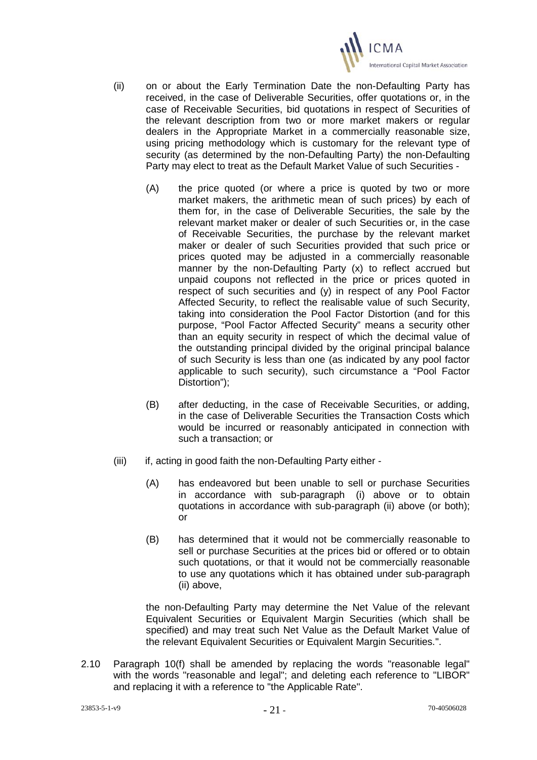

- (ii) on or about the Early Termination Date the non-Defaulting Party has received, in the case of Deliverable Securities, offer quotations or, in the case of Receivable Securities, bid quotations in respect of Securities of the relevant description from two or more market makers or regular dealers in the Appropriate Market in a commercially reasonable size, using pricing methodology which is customary for the relevant type of security (as determined by the non-Defaulting Party) the non-Defaulting Party may elect to treat as the Default Market Value of such Securities -
	- (A) the price quoted (or where a price is quoted by two or more market makers, the arithmetic mean of such prices) by each of them for, in the case of Deliverable Securities, the sale by the relevant market maker or dealer of such Securities or, in the case of Receivable Securities, the purchase by the relevant market maker or dealer of such Securities provided that such price or prices quoted may be adjusted in a commercially reasonable manner by the non-Defaulting Party (x) to reflect accrued but unpaid coupons not reflected in the price or prices quoted in respect of such securities and (y) in respect of any Pool Factor Affected Security, to reflect the realisable value of such Security, taking into consideration the Pool Factor Distortion (and for this purpose, "Pool Factor Affected Security" means a security other than an equity security in respect of which the decimal value of the outstanding principal divided by the original principal balance of such Security is less than one (as indicated by any pool factor applicable to such security), such circumstance a "Pool Factor Distortion");
	- (B) after deducting, in the case of Receivable Securities, or adding, in the case of Deliverable Securities the Transaction Costs which would be incurred or reasonably anticipated in connection with such a transaction; or
- (iii) if, acting in good faith the non-Defaulting Party either -
	- (A) has endeavored but been unable to sell or purchase Securities in accordance with sub-paragraph (i) above or to obtain quotations in accordance with sub-paragraph (ii) above (or both); or
	- (B) has determined that it would not be commercially reasonable to sell or purchase Securities at the prices bid or offered or to obtain such quotations, or that it would not be commercially reasonable to use any quotations which it has obtained under sub-paragraph (ii) above,

the non-Defaulting Party may determine the Net Value of the relevant Equivalent Securities or Equivalent Margin Securities (which shall be specified) and may treat such Net Value as the Default Market Value of the relevant Equivalent Securities or Equivalent Margin Securities.".

2.10 Paragraph 10(f) shall be amended by replacing the words "reasonable legal" with the words "reasonable and legal"; and deleting each reference to "LIBOR" and replacing it with a reference to "the Applicable Rate".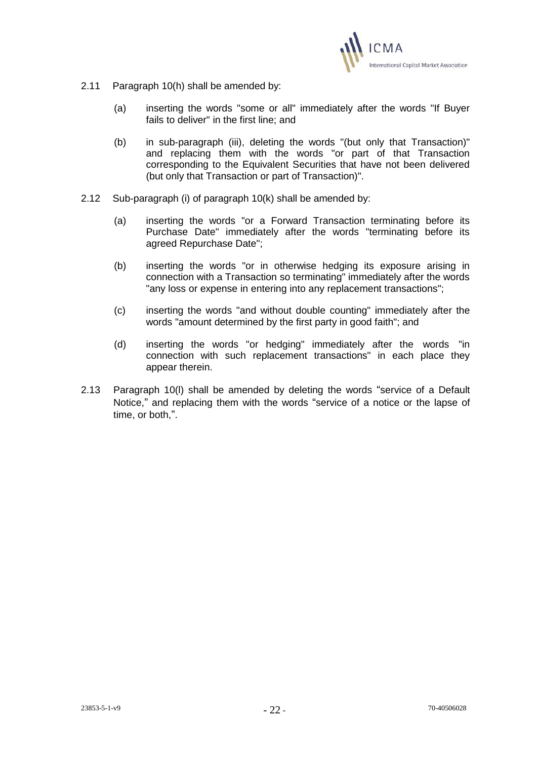

- 2.11 Paragraph 10(h) shall be amended by:
	- (a) inserting the words "some or all" immediately after the words "If Buyer fails to deliver" in the first line; and
	- (b) in sub-paragraph (iii), deleting the words "(but only that Transaction)" and replacing them with the words "or part of that Transaction corresponding to the Equivalent Securities that have not been delivered (but only that Transaction or part of Transaction)".
- 2.12 Sub-paragraph (i) of paragraph 10(k) shall be amended by:
	- (a) inserting the words "or a Forward Transaction terminating before its Purchase Date" immediately after the words "terminating before its agreed Repurchase Date";
	- (b) inserting the words "or in otherwise hedging its exposure arising in connection with a Transaction so terminating" immediately after the words "any loss or expense in entering into any replacement transactions";
	- (c) inserting the words "and without double counting" immediately after the words "amount determined by the first party in good faith"; and
	- (d) inserting the words "or hedging" immediately after the words "in connection with such replacement transactions" in each place they appear therein.
- 2.13 Paragraph 10(l) shall be amended by deleting the words "service of a Default Notice," and replacing them with the words "service of a notice or the lapse of time, or both,".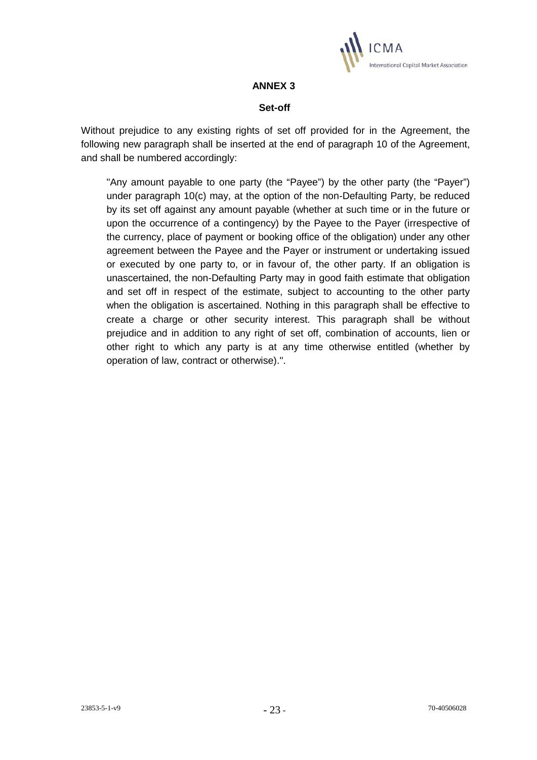

# **Set-off**

Without prejudice to any existing rights of set off provided for in the Agreement, the following new paragraph shall be inserted at the end of paragraph 10 of the Agreement, and shall be numbered accordingly:

"Any amount payable to one party (the "Payee") by the other party (the "Payer") under paragraph 10(c) may, at the option of the non-Defaulting Party, be reduced by its set off against any amount payable (whether at such time or in the future or upon the occurrence of a contingency) by the Payee to the Payer (irrespective of the currency, place of payment or booking office of the obligation) under any other agreement between the Payee and the Payer or instrument or undertaking issued or executed by one party to, or in favour of, the other party. If an obligation is unascertained, the non-Defaulting Party may in good faith estimate that obligation and set off in respect of the estimate, subject to accounting to the other party when the obligation is ascertained. Nothing in this paragraph shall be effective to create a charge or other security interest. This paragraph shall be without prejudice and in addition to any right of set off, combination of accounts, lien or other right to which any party is at any time otherwise entitled (whether by operation of law, contract or otherwise).".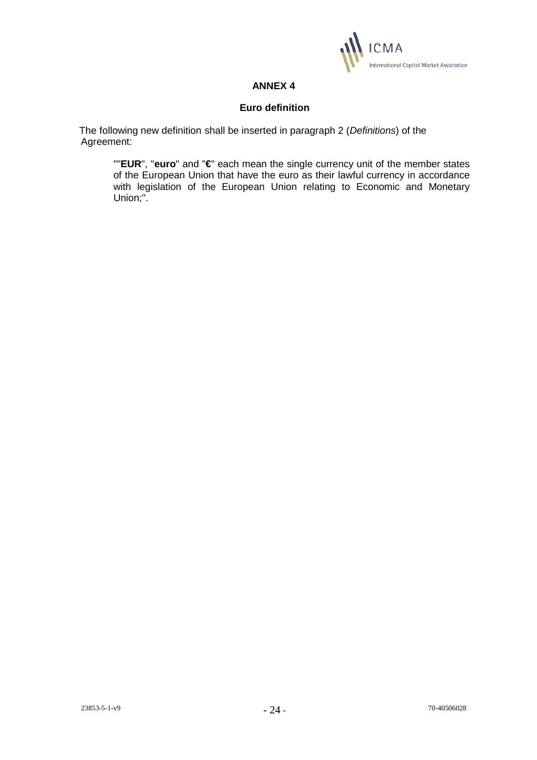

# **Euro definition**

The following new definition shall be inserted in paragraph 2 (*Definitions*) of the Agreement:

""**EUR**", "**euro**" and "**€**" each mean the single currency unit of the member states of the European Union that have the euro as their lawful currency in accordance with legislation of the European Union relating to Economic and Monetary Union;".